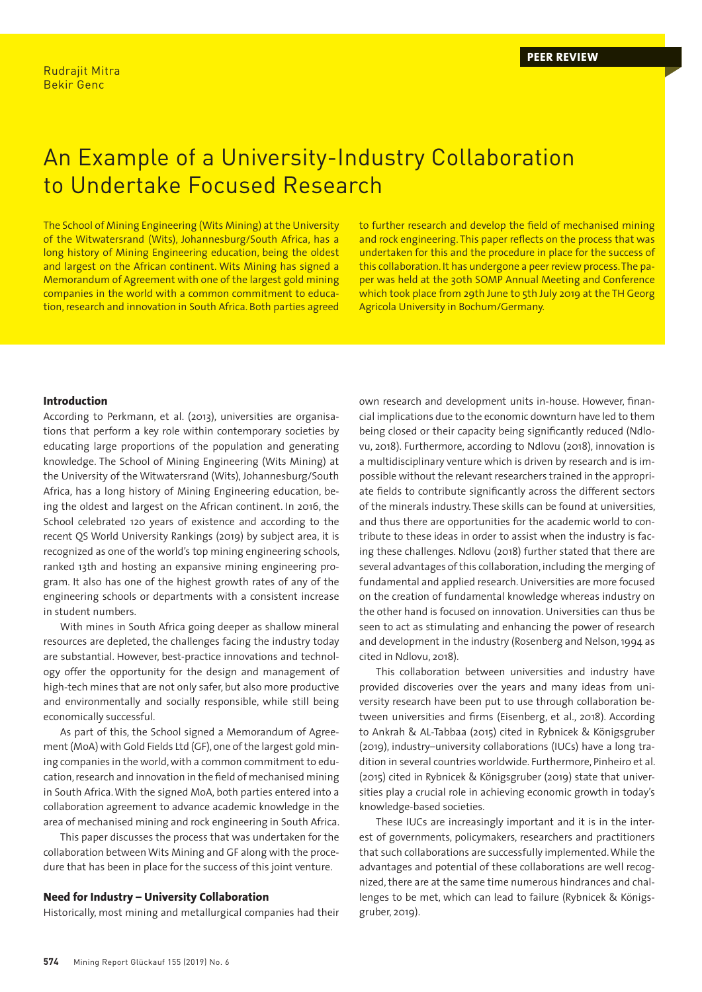# An Example of a University-Industry Collaboration to Undertake Focused Research

The School of Mining Engineering (Wits Mining) at the University of the Witwatersrand (Wits), Johannesburg/South Africa, has a long history of Mining Engineering education, being the oldest and largest on the African continent. Wits Mining has signed a Memorandum of Agreement with one of the largest gold mining companies in the world with a common commitment to education, research and innovation in South Africa. Both parties agreed to further research and develop the field of mechanised mining and rock engineering. This paper reflects on the process that was undertaken for this and the procedure in place for the success of this collaboration. It has undergone a peer review process. The paper was held at the 30th SOMP Annual Meeting and Conference which took place from 29th June to 5th July 2019 at the TH Georg Agricola University in Bochum/Germany.

#### **Introduction**

According to Perkmann, et al. (2013), universities are organisations that perform a key role within contemporary societies by educating large proportions of the population and generating knowledge. The School of Mining Engineering (Wits Mining) at the University of the Witwatersrand (Wits), Johannesburg/South Africa, has a long history of Mining Engineering education, being the oldest and largest on the African continent. In 2016, the School celebrated 120 years of existence and according to the recent QS World University Rankings (2019) by subject area, it is recognized as one of the world's top mining engineering schools, ranked 13th and hosting an expansive mining engineering program. It also has one of the highest growth rates of any of the engineering schools or departments with a consistent increase in student numbers.

With mines in South Africa going deeper as shallow mineral resources are depleted, the challenges facing the industry today are substantial. However, best-practice innovations and technology offer the opportunity for the design and management of high-tech mines that are not only safer, but also more productive and environmentally and socially responsible, while still being economically successful.

As part of this, the School signed a Memorandum of Agreement (MoA) with Gold Fields Ltd (GF), one of the largest gold mining companies in the world, with a common commitment to education, research and innovation in the field of mechanised mining in South Africa. With the signed MoA, both parties entered into a collaboration agreement to advance academic knowledge in the area of mechanised mining and rock engineering in South Africa.

This paper discusses the process that was undertaken for the collaboration between Wits Mining and GF along with the procedure that has been in place for the success of this joint venture.

# **Need for Industry – University Collaboration**

Historically, most mining and metallurgical companies had their

own research and development units in-house. However, financial implications due to the economic downturn have led to them being closed or their capacity being significantly reduced (Ndlovu, 2018). Furthermore, according to Ndlovu (2018), innovation is a multidisciplinary venture which is driven by research and is impossible without the relevant researchers trained in the appropriate fields to contribute significantly across the different sectors of the minerals industry. These skills can be found at universities, and thus there are opportunities for the academic world to contribute to these ideas in order to assist when the industry is facing these challenges. Ndlovu (2018) further stated that there are several advantages of this collaboration, including the merging of fundamental and applied research. Universities are more focused on the creation of fundamental knowledge whereas industry on the other hand is focused on innovation. Universities can thus be seen to act as stimulating and enhancing the power of research and development in the industry (Rosenberg and Nelson, 1994 as cited in Ndlovu, 2018).

This collaboration between universities and industry have provided discoveries over the years and many ideas from university research have been put to use through collaboration between universities and firms (Eisenberg, et al., 2018). According to Ankrah & AL-Tabbaa (2015) cited in Rybnicek & Königsgruber (2019), industry–university collaborations (IUCs) have a long tradition in several countries worldwide. Furthermore, Pinheiro et al. (2015) cited in Rybnicek & Königsgruber (2019) state that universities play a crucial role in achieving economic growth in today's knowledge-based societies.

These IUCs are increasingly important and it is in the interest of governments, policymakers, researchers and practitioners that such collaborations are successfully implemented. While the advantages and potential of these collaborations are well recognized, there are at the same time numerous hindrances and challenges to be met, which can lead to failure (Rybnicek & Königsgruber, 2019).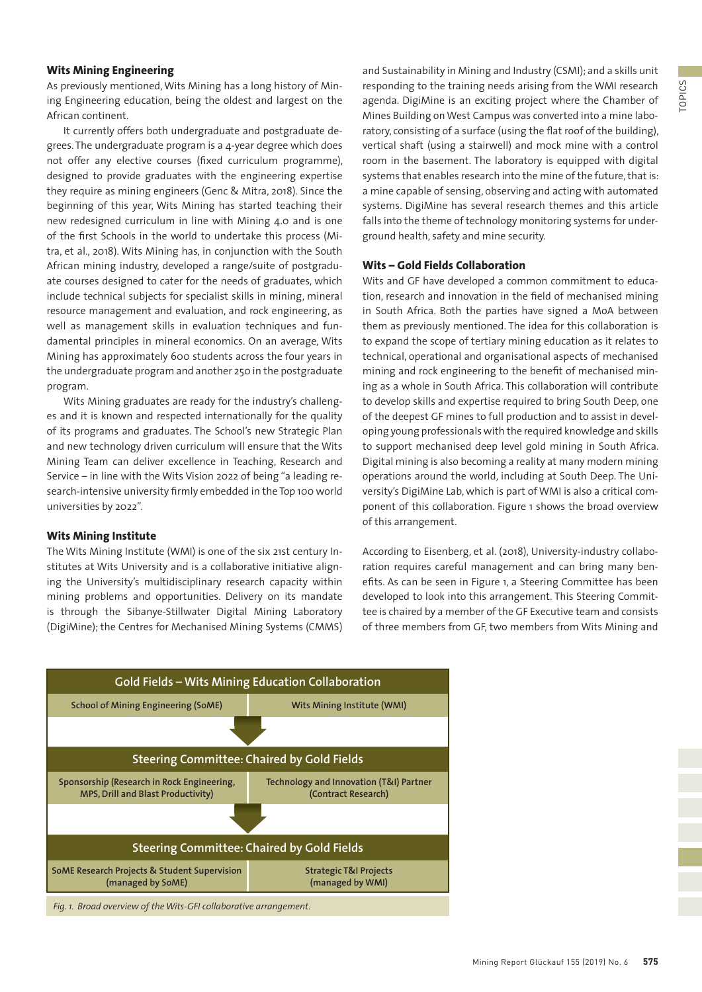# **Wits Mining Engineering**

As previously mentioned, Wits Mining has a long history of Mining Engineering education, being the oldest and largest on the African continent.

It currently offers both undergraduate and postgraduate degrees. The undergraduate program is a 4-year degree which does not offer any elective courses (fixed curriculum programme), designed to provide graduates with the engineering expertise they require as mining engineers (Genc & Mitra, 2018). Since the beginning of this year, Wits Mining has started teaching their new redesigned curriculum in line with Mining 4.0 and is one of the first Schools in the world to undertake this process (Mitra, et al., 2018). Wits Mining has, in conjunction with the South African mining industry, developed a range/suite of postgraduate courses designed to cater for the needs of graduates, which include technical subjects for specialist skills in mining, mineral resource management and evaluation, and rock engineering, as well as management skills in evaluation techniques and fundamental principles in mineral economics. On an average, Wits Mining has approximately 600 students across the four years in the undergraduate program and another 250 in the postgraduate program.

Wits Mining graduates are ready for the industry's challenges and it is known and respected internationally for the quality of its programs and graduates. The School's new Strategic Plan and new technology driven curriculum will ensure that the Wits Mining Team can deliver excellence in Teaching, Research and Service – in line with the Wits Vision 2022 of being "a leading research-intensive university firmly embedded in the Top 100 world universities by 2022".

# **Wits Mining Institute**

The Wits Mining Institute (WMI) is one of the six 21st century Institutes at Wits University and is a collaborative initiative aligning the University's multidisciplinary research capacity within mining problems and opportunities. Delivery on its mandate is through the Sibanye-Stillwater Digital Mining Laboratory (DigiMine); the Centres for Mechanised Mining Systems (CMMS) and Sustainability in Mining and Industry (CSMI); and a skills unit responding to the training needs arising from the WMI research agenda. DigiMine is an exciting project where the Chamber of Mines Building on West Campus was converted into a mine laboratory, consisting of a surface (using the flat roof of the building), vertical shaft (using a stairwell) and mock mine with a control room in the basement. The laboratory is equipped with digital systems that enables research into the mine of the future, that is: a mine capable of sensing, observing and acting with automated systems. DigiMine has several research themes and this article falls into the theme of technology monitoring systems for underground health, safety and mine security.

#### **Wits – Gold Fields Collaboration**

Wits and GF have developed a common commitment to education, research and innovation in the field of mechanised mining in South Africa. Both the parties have signed a MoA between them as previously mentioned. The idea for this collaboration is to expand the scope of tertiary mining education as it relates to technical, operational and organisational aspects of mechanised mining and rock engineering to the benefit of mechanised mining as a whole in South Africa. This collaboration will contribute to develop skills and expertise required to bring South Deep, one of the deepest GF mines to full production and to assist in developing young professionals with the required knowledge and skills to support mechanised deep level gold mining in South Africa. Digital mining is also becoming a reality at many modern mining operations around the world, including at South Deep. The University's DigiMine Lab, which is part of WMI is also a critical component of this collaboration. Figure 1 shows the broad overview of this arrangement.

According to Eisenberg, et al. (2018), University-industry collaboration requires careful management and can bring many benefits. As can be seen in Figure 1, a Steering Committee has been developed to look into this arrangement. This Steering Committee is chaired by a member of the GF Executive team and consists of three members from GF, two members from Wits Mining and